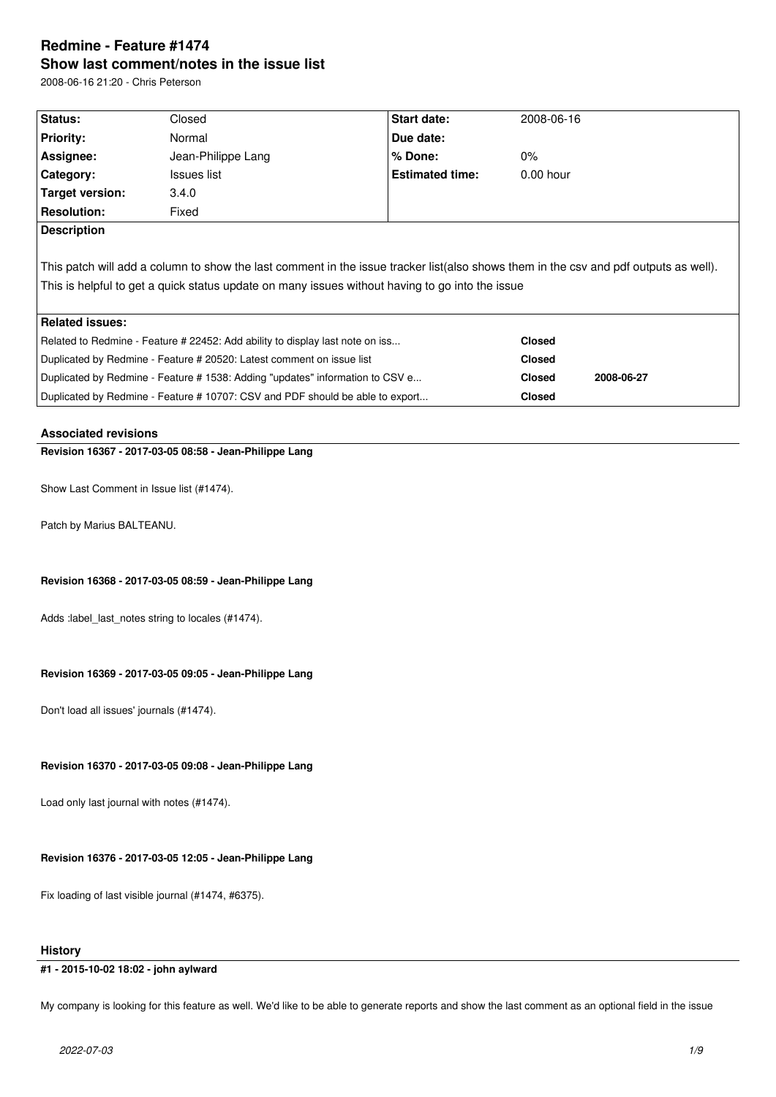# **Redmine - Feature #1474 Show last comment/notes in the issue list**

2008-06-16 21:20 - Chris Peterson

| <b>Status:</b>                                                                                                                       | Closed             | <b>Start date:</b>     | 2008-06-16                  |  |  |  |
|--------------------------------------------------------------------------------------------------------------------------------------|--------------------|------------------------|-----------------------------|--|--|--|
| Priority:                                                                                                                            | Normal             | Due date:              |                             |  |  |  |
| Assignee:                                                                                                                            | Jean-Philippe Lang | $%$ Done:              | $0\%$                       |  |  |  |
| Category:                                                                                                                            | Issues list        | <b>Estimated time:</b> | $0.00$ hour                 |  |  |  |
| Target version:                                                                                                                      | 3.4.0              |                        |                             |  |  |  |
| <b>Resolution:</b>                                                                                                                   | Fixed              |                        |                             |  |  |  |
| <b>Description</b>                                                                                                                   |                    |                        |                             |  |  |  |
| This patch will add a column to show the last comment in the issue tracker list(also shows them in the csv and pdf outputs as well). |                    |                        |                             |  |  |  |
| This is helpful to get a quick status update on many issues without having to go into the issue                                      |                    |                        |                             |  |  |  |
|                                                                                                                                      |                    |                        |                             |  |  |  |
| <b>Related issues:</b>                                                                                                               |                    |                        |                             |  |  |  |
| Related to Redmine - Feature # 22452: Add ability to display last note on iss                                                        |                    |                        | <b>Closed</b>               |  |  |  |
| Duplicated by Redmine - Feature # 20520: Latest comment on issue list                                                                |                    |                        | <b>Closed</b>               |  |  |  |
| Duplicated by Redmine - Feature # 1538: Adding "updates" information to CSV e                                                        |                    |                        | <b>Closed</b><br>2008-06-27 |  |  |  |
| Duplicated by Redmine - Feature # 10707: CSV and PDF should be able to export                                                        |                    |                        | <b>Closed</b>               |  |  |  |
|                                                                                                                                      |                    |                        |                             |  |  |  |

### **Associated revisions**

# **Revision 16367 - 2017-03-05 08:58 - Jean-Philippe Lang**

Show Last Comment in Issue list (#1474).

Patch by Marius BALTEANU.

### **Revision 16368 - 2017-03-05 08:59 - Jean-Philippe Lang**

Adds :label\_last\_notes string to locales (#1474).

### **Revision 16369 - 2017-03-05 09:05 - Jean-Philippe Lang**

Don't load all issues' journals (#1474).

### **Revision 16370 - 2017-03-05 09:08 - Jean-Philippe Lang**

Load only last journal with notes (#1474).

## **Revision 16376 - 2017-03-05 12:05 - Jean-Philippe Lang**

Fix loading of last visible journal (#1474, #6375).

### **History**

### **#1 - 2015-10-02 18:02 - john aylward**

My company is looking for this feature as well. We'd like to be able to generate reports and show the last comment as an optional field in the issue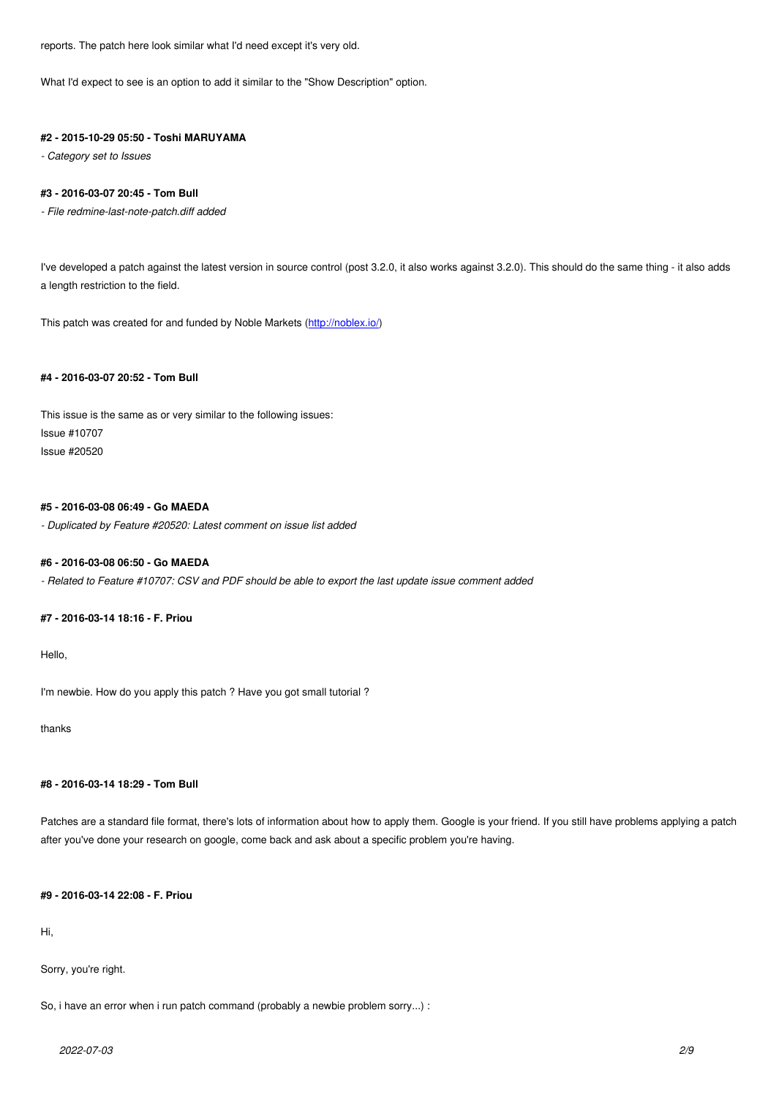What I'd expect to see is an option to add it similar to the "Show Description" option.

### **#2 - 2015-10-29 05:50 - Toshi MARUYAMA**

*- Category set to Issues*

### **#3 - 2016-03-07 20:45 - Tom Bull**

*- File redmine-last-note-patch.diff added*

I've developed a patch against the latest version in source control (post 3.2.0, it also works against 3.2.0). This should do the same thing - it also adds a length restriction to the field.

This patch was created for and funded by Noble Markets (http://noblex.io/)

### **#4 - 2016-03-07 20:52 - Tom Bull**

This issue is the same as or very similar to the following issues: Issue #10707 Issue #20520

### **#5 - 2016-03-08 06:49 - Go MAEDA**

*- Duplicated by Feature #20520: Latest comment on issue list added*

### **#6 - 2016-03-08 06:50 - Go MAEDA**

*- Related to Feature #10707: CSV and PDF should be able to export the last update issue comment added*

### **#7 - 2016-03-14 18:16 - F. Priou**

Hello,

I'm newbie. How do you apply this patch ? Have you got small tutorial ?

thanks

### **#8 - 2016-03-14 18:29 - Tom Bull**

Patches are a standard file format, there's lots of information about how to apply them. Google is your friend. If you still have problems applying a patch after you've done your research on google, come back and ask about a specific problem you're having.

#### **#9 - 2016-03-14 22:08 - F. Priou**

Hi,

### Sorry, you're right.

So, i have an error when i run patch command (probably a newbie problem sorry...) :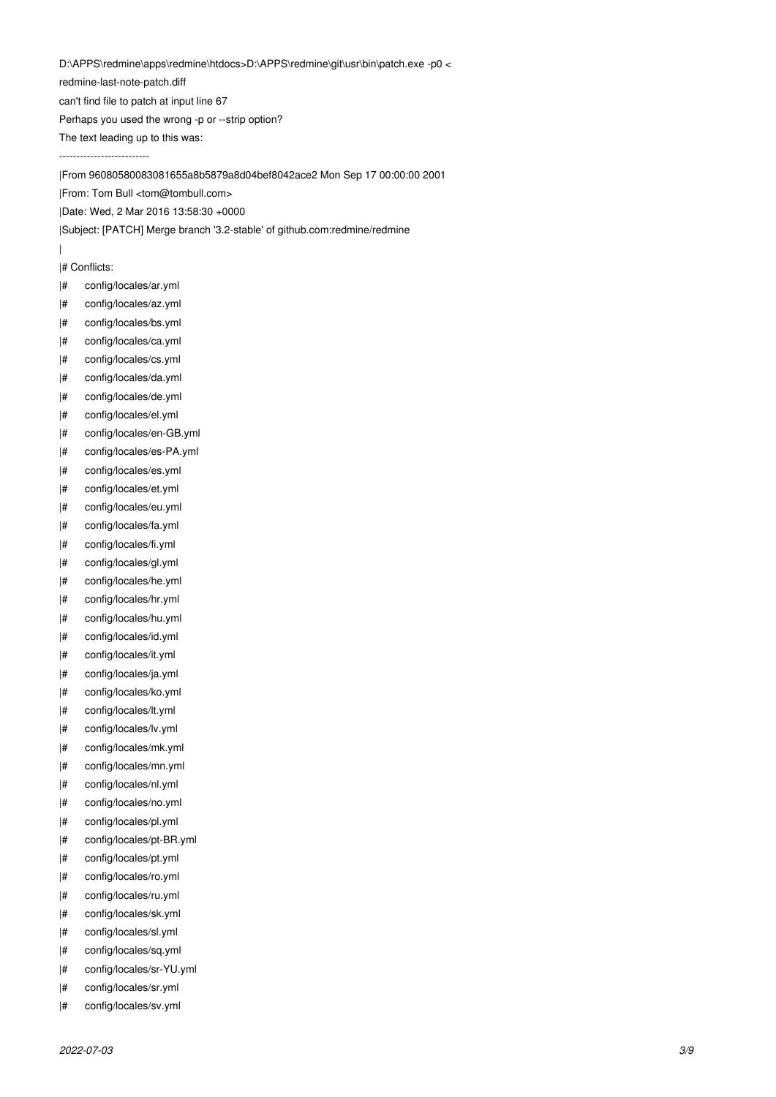D:\APPS\redmine\apps\redmine\htdocs>D:\APPS\redmine\git\usr\bin\patch.exe -p0 <

redmine-last-note-patch.diff

can't find file to patch at input line 67

Perhaps you used the wrong -p or --strip option?

The text leading up to this was:

--------------------------

|From 96080580083081655a8b5879a8d04bef8042ace2 Mon Sep 17 00:00:00 2001

|From: Tom Bull <tom@tombull.com>

|Date: Wed, 2 Mar 2016 13:58:30 +0000

|Subject: [PATCH] Merge branch '3.2-stable' of github.com:redmine/redmine

|# Conflicts:

|

- |# config/locales/ar.yml
- |# config/locales/az.yml
- |# config/locales/bs.yml
- |# config/locales/ca.yml
- |# config/locales/cs.yml
- |# config/locales/da.yml
- |# config/locales/de.yml
- |# config/locales/el.yml
- |# config/locales/en-GB.yml
- |# config/locales/es-PA.yml
- |# config/locales/es.yml
- |# config/locales/et.yml
- |# config/locales/eu.yml
- 
- |# config/locales/fa.yml
- |# config/locales/fi.yml
- |# config/locales/gl.yml |# config/locales/he.yml
- |# config/locales/hr.yml
- 
- |# config/locales/hu.yml |# config/locales/id.yml
- 
- |# config/locales/it.yml
- |# config/locales/ja.yml
- |# config/locales/ko.yml
- |# config/locales/lt.yml
- |# config/locales/lv.yml
- |# config/locales/mk.yml
- |# config/locales/mn.yml
- |# config/locales/nl.yml
- |# config/locales/no.yml
- |# config/locales/pl.yml
- |# config/locales/pt-BR.yml
- |# config/locales/pt.yml
- |# config/locales/ro.yml
- |# config/locales/ru.yml
- |# config/locales/sk.yml
- |# config/locales/sl.yml
- |# config/locales/sq.yml
- |# config/locales/sr-YU.yml
- |# config/locales/sr.yml
- |# config/locales/sv.yml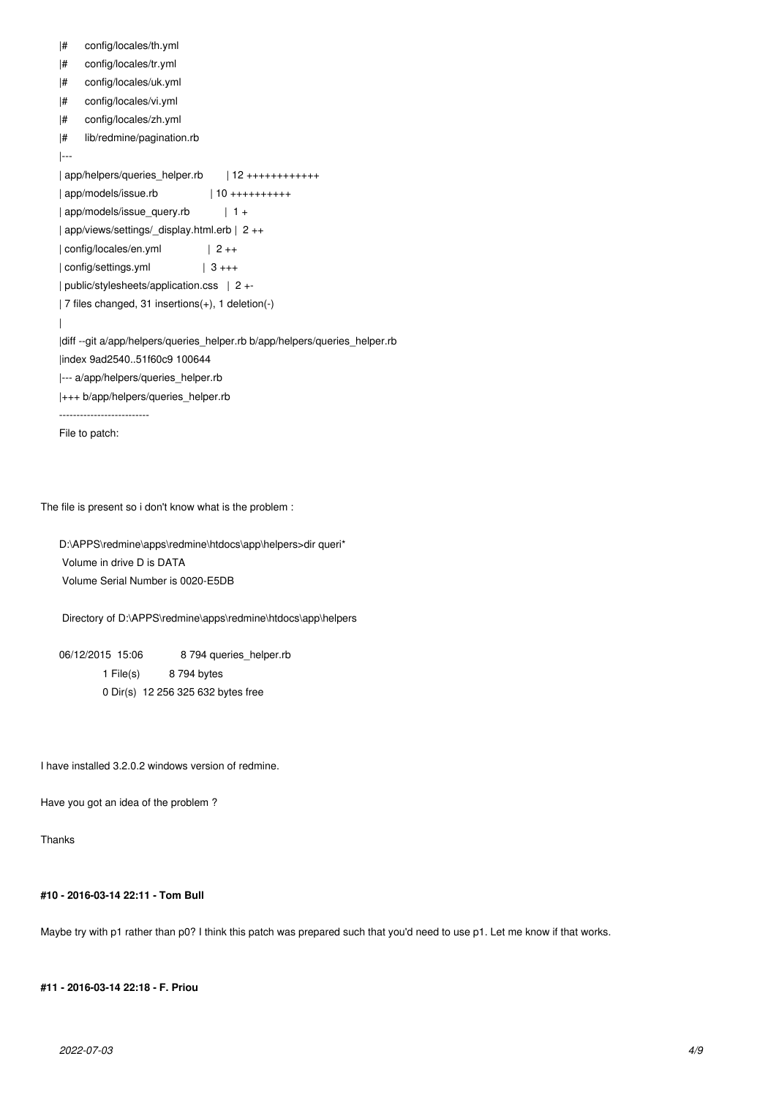```
|# config/locales/th.yml
|# config/locales/tr.yml
|# config/locales/uk.yml
|# config/locales/vi.yml
|# config/locales/zh.yml
|# lib/redmine/pagination.rb
|---
| app/helpers/queries_helper.rb | 12 +++++++++++++
| app/models/issue.rb | 10 ++++++++++
| app/models/issue_query.rb | 1 +
| app/views/settings/_display.html.erb | 2 ++
| config/locales/en.yml | 2 ++
| config/settings.yml | 3 +++
| public/stylesheets/application.css | 2 +-
| 7 files changed, 31 insertions(+), 1 deletion(-)
|
|diff --git a/app/helpers/queries_helper.rb b/app/helpers/queries_helper.rb
|index 9ad2540..51f60c9 100644
|--- a/app/helpers/queries_helper.rb
|+++ b/app/helpers/queries_helper.rb
--------------------------
File to patch:
```
The file is present so i don't know what is the problem :

D:\APPS\redmine\apps\redmine\htdocs\app\helpers>dir queri\* Volume in drive D is DATA Volume Serial Number is 0020-E5DB

Directory of D:\APPS\redmine\apps\redmine\htdocs\app\helpers

06/12/2015 15:06 8 794 queries helper.rb 1 File(s) 8 794 bytes 0 Dir(s) 12 256 325 632 bytes free

I have installed 3.2.0.2 windows version of redmine.

Have you got an idea of the problem ?

Thanks

**#10 - 2016-03-14 22:11 - Tom Bull**

Maybe try with p1 rather than p0? I think this patch was prepared such that you'd need to use p1. Let me know if that works.

**#11 - 2016-03-14 22:18 - F. Priou**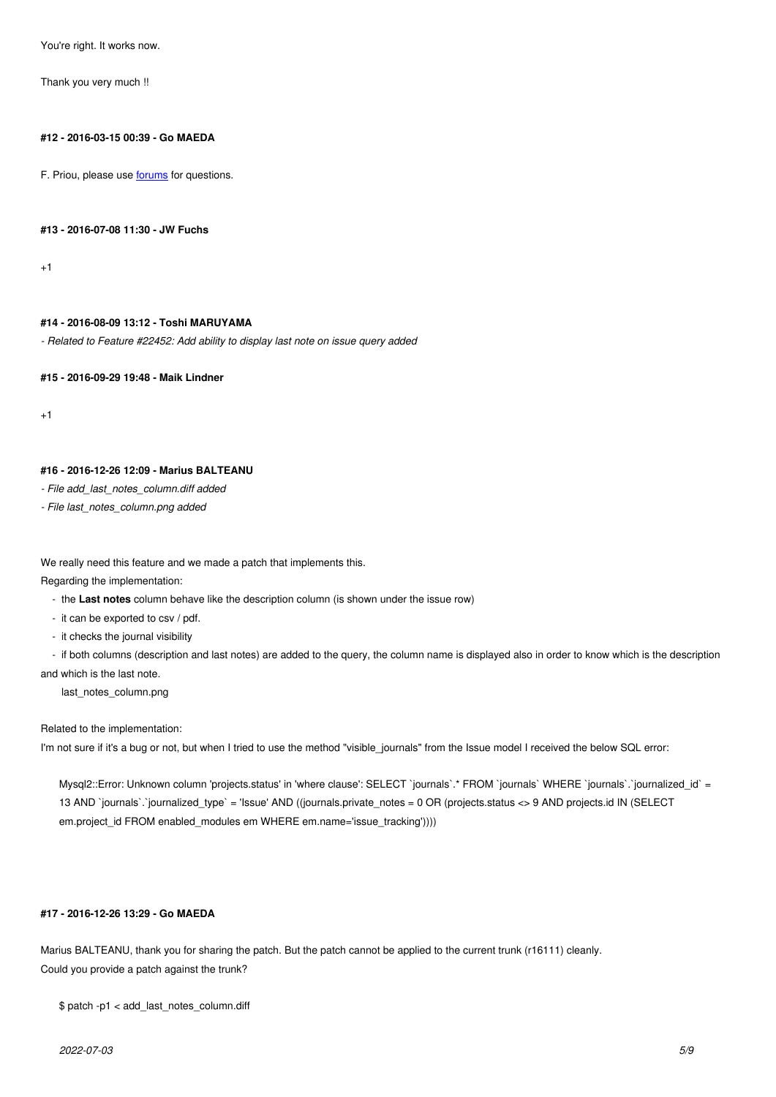Thank you very much !!

### **#12 - 2016-03-15 00:39 - Go MAEDA**

F. Priou, please use forums for questions.

### **#13 - 2016-07-08 11[:30 - JW](http://www.redmine.org/projects/redmine/boards) Fuchs**

+1

### **#14 - 2016-08-09 13:12 - Toshi MARUYAMA**

*- Related to Feature #22452: Add ability to display last note on issue query added*

**#15 - 2016-09-29 19:48 - Maik Lindner**

+1

### **#16 - 2016-12-26 12:09 - Marius BALTEANU**

*- File add\_last\_notes\_column.diff added*

*- File last\_notes\_column.png added*

We really need this feature and we made a patch that implements this.

Regarding the implementation:

- the **Last notes** column behave like the description column (is shown under the issue row)
- it can be exported to csv / pdf.
- it checks the journal visibility

 - if both columns (description and last notes) are added to the query, the column name is displayed also in order to know which is the description and which is the last note.

last\_notes\_column.png

### Related to the implementation:

I'm not sure if it's a bug or not, but when I tried to use the method "visible\_journals" from the Issue model I received the below SQL error:

Mysql2::Error: Unknown column 'projects.status' in 'where clause': SELECT `journals`.\* FROM `journals` WHERE `journalis`.`journalized id` = 13 AND `journals`.`journalized\_type` = 'Issue' AND ((journals.private\_notes = 0 OR (projects.status <> 9 AND projects.id IN (SELECT em.project\_id FROM enabled\_modules em WHERE em.name='issue\_tracking'))))

### **#17 - 2016-12-26 13:29 - Go MAEDA**

Marius BALTEANU, thank you for sharing the patch. But the patch cannot be applied to the current trunk (r16111) cleanly. Could you provide a patch against the trunk?

\$ patch -p1 < add\_last\_notes\_column.diff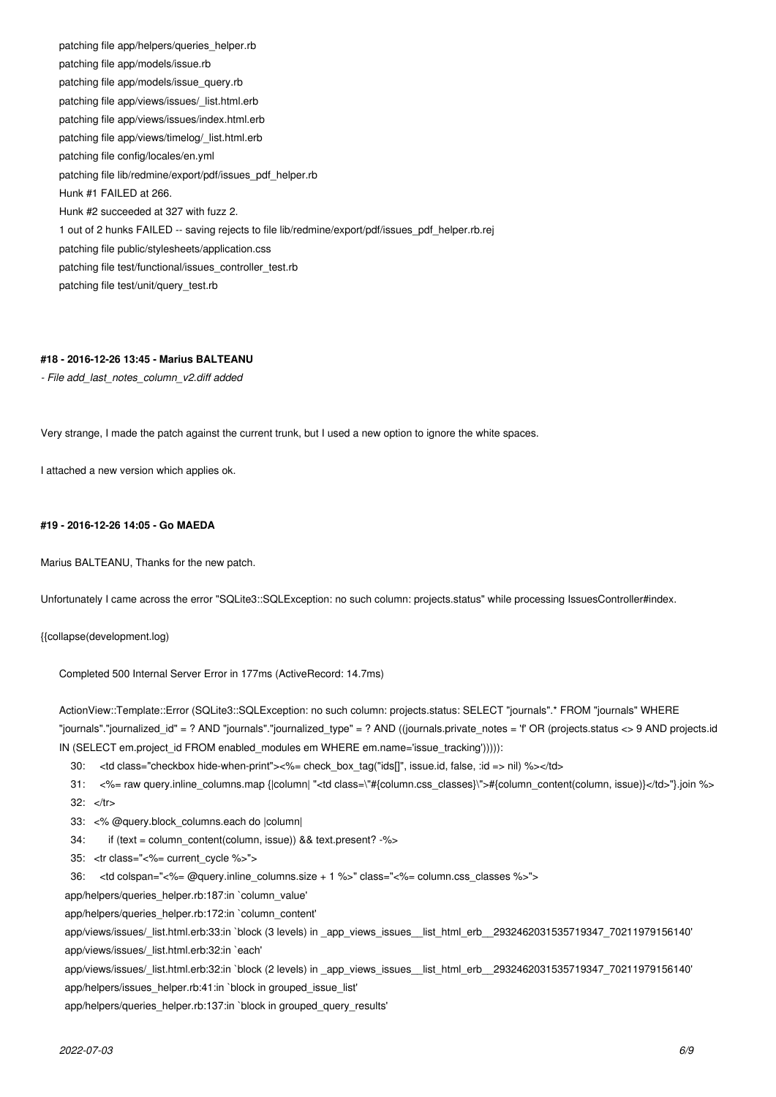patching file app/helpers/queries\_helper.rb patching file app/models/issue.rb patching file app/models/issue\_query.rb patching file app/views/issues/\_list.html.erb patching file app/views/issues/index.html.erb patching file app/views/timelog/\_list.html.erb patching file config/locales/en.yml patching file lib/redmine/export/pdf/issues\_pdf\_helper.rb Hunk #1 FAILED at 266. Hunk #2 succeeded at 327 with fuzz 2. 1 out of 2 hunks FAILED -- saving rejects to file lib/redmine/export/pdf/issues\_pdf\_helper.rb.rej patching file public/stylesheets/application.css patching file test/functional/issues\_controller\_test.rb patching file test/unit/query\_test.rb

### **#18 - 2016-12-26 13:45 - Marius BALTEANU**

*- File add\_last\_notes\_column\_v2.diff added*

Very strange, I made the patch against the current trunk, but I used a new option to ignore the white spaces.

I attached a new version which applies ok.

### **#19 - 2016-12-26 14:05 - Go MAEDA**

Marius BALTEANU, Thanks for the new patch.

Unfortunately I came across the error "SQLite3::SQLException: no such column: projects.status" while processing IssuesController#index.

{{collapse(development.log)

Completed 500 Internal Server Error in 177ms (ActiveRecord: 14.7ms)

ActionView::Template::Error (SQLite3::SQLException: no such column: projects.status: SELECT "journals".\* FROM "journals" WHERE "journals"."journalized\_id" = ? AND "journals"."journalized\_type" = ? AND ((journals.private\_notes = 'f' OR (projects.status <> 9 AND projects.id IN (SELECT em.project\_id FROM enabled\_modules em WHERE em.name='issue\_tracking'))))):

30: <td class="checkbox hide-when-print"><%= check\_box\_tag("ids[]", issue.id, false, :id => nil) %></td>

 31: <%= raw query.inline\_columns.map {|column| "<td class=\"#{column.css\_classes}\">#{column\_content(column, issue)}</td>"}.join %> 32: </tr>

- 33: <% @query.block\_columns.each do |column|
- 34: if (text = column\_content(column, issue)) && text.present? -%>
- 35: <tr class="<%= current\_cycle %>">
- 36: <td colspan="<%= @query.inline\_columns.size + 1 %>" class="<%= column.css\_classes %>">
- app/helpers/queries\_helper.rb:187:in `column\_value'

app/helpers/queries\_helper.rb:172:in `column\_content'

 app/views/issues/\_list.html.erb:33:in `block (3 levels) in \_app\_views\_issues\_\_list\_html\_erb\_\_2932462031535719347\_70211979156140' app/views/issues/\_list.html.erb:32:in `each'

 app/views/issues/\_list.html.erb:32:in `block (2 levels) in \_app\_views\_issues\_\_list\_html\_erb\_\_2932462031535719347\_70211979156140' app/helpers/issues\_helper.rb:41:in `block in grouped\_issue\_list'

app/helpers/queries\_helper.rb:137:in `block in grouped\_query\_results'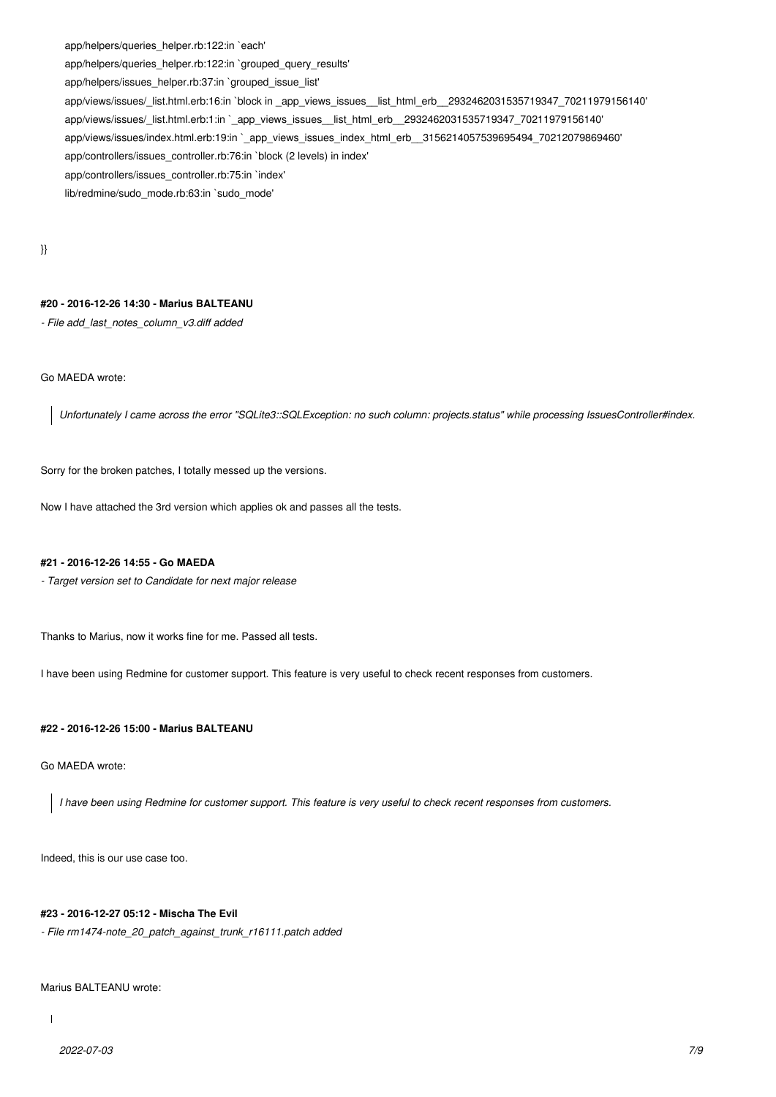app/helpers/queries\_helper.rb:122:in `each'

app/helpers/queries\_helper.rb:122:in `grouped\_query\_results'

app/helpers/issues\_helper.rb:37:in `grouped\_issue\_list'

 app/views/issues/\_list.html.erb:16:in `block in \_app\_views\_issues\_\_list\_html\_erb\_\_2932462031535719347\_70211979156140' app/views/issues/\_list.html.erb:1:in `\_app\_views\_issues\_\_list\_html\_erb\_\_2932462031535719347\_70211979156140' app/views/issues/index.html.erb:19:in `\_app\_views\_issues\_index\_html\_erb\_\_3156214057539695494\_70212079869460' app/controllers/issues\_controller.rb:76:in `block (2 levels) in index'

app/controllers/issues\_controller.rb:75:in `index'

lib/redmine/sudo\_mode.rb:63:in `sudo\_mode'

}}

### **#20 - 2016-12-26 14:30 - Marius BALTEANU**

*- File add\_last\_notes\_column\_v3.diff added*

Go MAEDA wrote:

*Unfortunately I came across the error "SQLite3::SQLException: no such column: projects.status" while processing IssuesController#index.*

Sorry for the broken patches, I totally messed up the versions.

Now I have attached the 3rd version which applies ok and passes all the tests.

### **#21 - 2016-12-26 14:55 - Go MAEDA**

*- Target version set to Candidate for next major release*

Thanks to Marius, now it works fine for me. Passed all tests.

I have been using Redmine for customer support. This feature is very useful to check recent responses from customers.

### **#22 - 2016-12-26 15:00 - Marius BALTEANU**

Go MAEDA wrote:

*I have been using Redmine for customer support. This feature is very useful to check recent responses from customers.*

Indeed, this is our use case too.

#### **#23 - 2016-12-27 05:12 - Mischa The Evil**

*- File rm1474-note\_20\_patch\_against\_trunk\_r16111.patch added*

Marius BALTEANU wrote: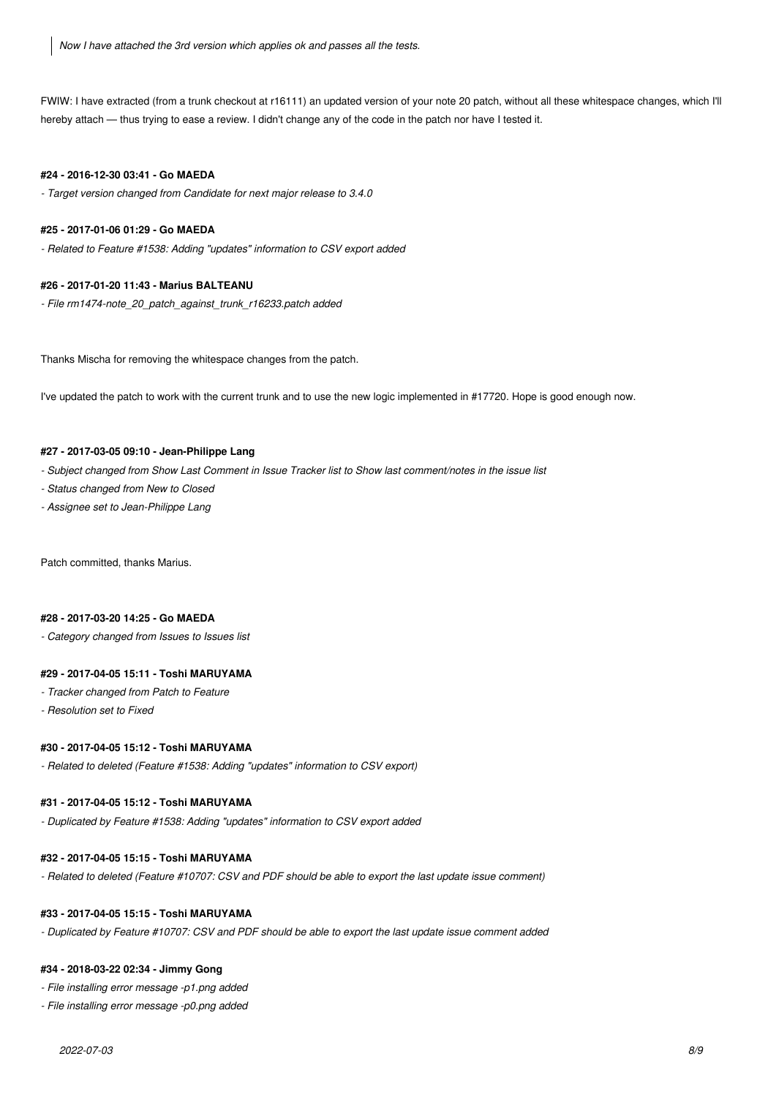*Now I have attached the 3rd version which applies ok and passes all the tests.*

FWIW: I have extracted (from a trunk checkout at r16111) an updated version of your note 20 patch, without all these whitespace changes, which I'll hereby attach — thus trying to ease a review. I didn't change any of the code in the patch nor have I tested it.

### **#24 - 2016-12-30 03:41 - Go MAEDA**

*- Target version changed from Candidate for next major release to 3.4.0*

### **#25 - 2017-01-06 01:29 - Go MAEDA**

*- Related to Feature #1538: Adding "updates" information to CSV export added*

### **#26 - 2017-01-20 11:43 - Marius BALTEANU**

*- File rm1474-note\_20\_patch\_against\_trunk\_r16233.patch added*

Thanks Mischa for removing the whitespace changes from the patch.

I've updated the patch to work with the current trunk and to use the new logic implemented in #17720. Hope is good enough now.

### **#27 - 2017-03-05 09:10 - Jean-Philippe Lang**

*- Subject changed from Show Last Comment in Issue Tracker list to Show last comment/notes in the issue list*

- *Status changed from New to Closed*
- *Assignee set to Jean-Philippe Lang*

Patch committed, thanks Marius.

### **#28 - 2017-03-20 14:25 - Go MAEDA**

*- Category changed from Issues to Issues list*

### **#29 - 2017-04-05 15:11 - Toshi MARUYAMA**

- *Tracker changed from Patch to Feature*
- *Resolution set to Fixed*

### **#30 - 2017-04-05 15:12 - Toshi MARUYAMA**

*- Related to deleted (Feature #1538: Adding "updates" information to CSV export)*

### **#31 - 2017-04-05 15:12 - Toshi MARUYAMA**

*- Duplicated by Feature #1538: Adding "updates" information to CSV export added*

### **#32 - 2017-04-05 15:15 - Toshi MARUYAMA**

*- Related to deleted (Feature #10707: CSV and PDF should be able to export the last update issue comment)*

### **#33 - 2017-04-05 15:15 - Toshi MARUYAMA**

*- Duplicated by Feature #10707: CSV and PDF should be able to export the last update issue comment added*

### **#34 - 2018-03-22 02:34 - Jimmy Gong**

*- File installing error message -p1.png added*

*- File installing error message -p0.png added*